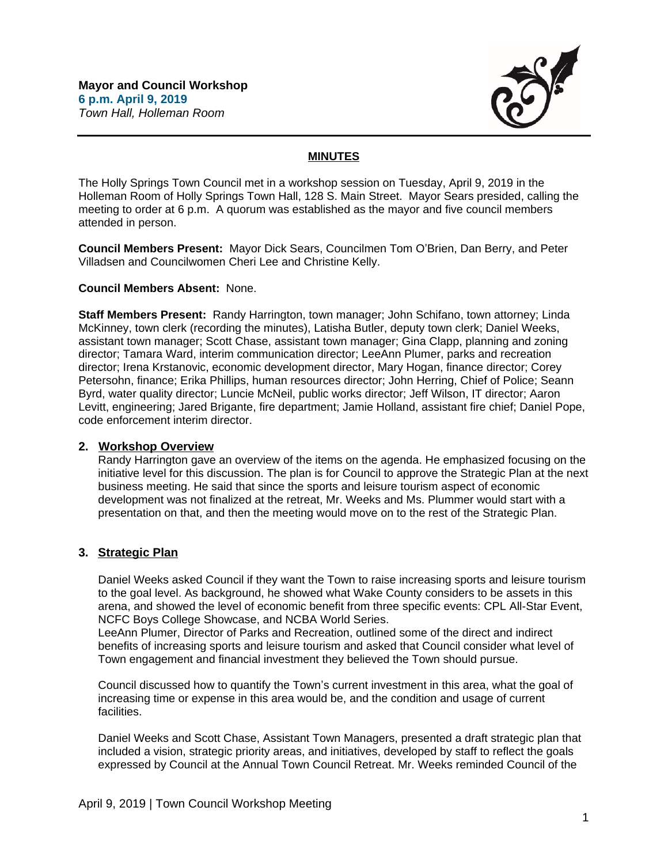

## **MINUTES**

The Holly Springs Town Council met in a workshop session on Tuesday, April 9, 2019 in the Holleman Room of Holly Springs Town Hall, 128 S. Main Street. Mayor Sears presided, calling the meeting to order at 6 p.m. A quorum was established as the mayor and five council members attended in person.

**Council Members Present:** Mayor Dick Sears, Councilmen Tom O'Brien, Dan Berry, and Peter Villadsen and Councilwomen Cheri Lee and Christine Kelly.

#### **Council Members Absent:** None.

**Staff Members Present:** Randy Harrington, town manager; John Schifano, town attorney; Linda McKinney, town clerk (recording the minutes), Latisha Butler, deputy town clerk; Daniel Weeks, assistant town manager; Scott Chase, assistant town manager; Gina Clapp, planning and zoning director; Tamara Ward, interim communication director; LeeAnn Plumer, parks and recreation director; Irena Krstanovic, economic development director, Mary Hogan, finance director; Corey Petersohn, finance; Erika Phillips, human resources director; John Herring, Chief of Police; Seann Byrd, water quality director; Luncie McNeil, public works director; Jeff Wilson, IT director; Aaron Levitt, engineering; Jared Brigante, fire department; Jamie Holland, assistant fire chief; Daniel Pope, code enforcement interim director.

### **2. Workshop Overview**

Randy Harrington gave an overview of the items on the agenda. He emphasized focusing on the initiative level for this discussion. The plan is for Council to approve the Strategic Plan at the next business meeting. He said that since the sports and leisure tourism aspect of economic development was not finalized at the retreat, Mr. Weeks and Ms. Plummer would start with a presentation on that, and then the meeting would move on to the rest of the Strategic Plan.

### **3. Strategic Plan**

Daniel Weeks asked Council if they want the Town to raise increasing sports and leisure tourism to the goal level. As background, he showed what Wake County considers to be assets in this arena, and showed the level of economic benefit from three specific events: CPL All-Star Event, NCFC Boys College Showcase, and NCBA World Series.

LeeAnn Plumer, Director of Parks and Recreation, outlined some of the direct and indirect benefits of increasing sports and leisure tourism and asked that Council consider what level of Town engagement and financial investment they believed the Town should pursue.

Council discussed how to quantify the Town's current investment in this area, what the goal of increasing time or expense in this area would be, and the condition and usage of current facilities.

Daniel Weeks and Scott Chase, Assistant Town Managers, presented a draft strategic plan that included a vision, strategic priority areas, and initiatives, developed by staff to reflect the goals expressed by Council at the Annual Town Council Retreat. Mr. Weeks reminded Council of the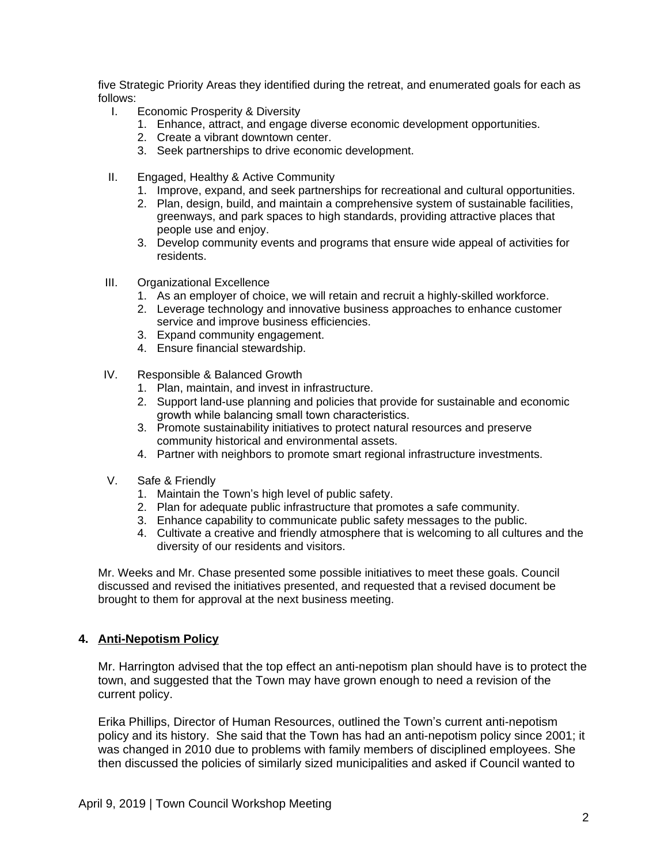five Strategic Priority Areas they identified during the retreat, and enumerated goals for each as follows:

- I. Economic Prosperity & Diversity
	- 1. Enhance, attract, and engage diverse economic development opportunities.
	- 2. Create a vibrant downtown center.
	- 3. Seek partnerships to drive economic development.
- II. Engaged, Healthy & Active Community
	- 1. Improve, expand, and seek partnerships for recreational and cultural opportunities.
	- 2. Plan, design, build, and maintain a comprehensive system of sustainable facilities, greenways, and park spaces to high standards, providing attractive places that people use and enjoy.
	- 3. Develop community events and programs that ensure wide appeal of activities for residents.
- III. Organizational Excellence
	- 1. As an employer of choice, we will retain and recruit a highly-skilled workforce.
	- 2. Leverage technology and innovative business approaches to enhance customer service and improve business efficiencies.
	- 3. Expand community engagement.
	- 4. Ensure financial stewardship.
- IV. Responsible & Balanced Growth
	- 1. Plan, maintain, and invest in infrastructure.
	- 2. Support land-use planning and policies that provide for sustainable and economic growth while balancing small town characteristics.
	- 3. Promote sustainability initiatives to protect natural resources and preserve community historical and environmental assets.
	- 4. Partner with neighbors to promote smart regional infrastructure investments.
- V. Safe & Friendly
	- 1. Maintain the Town's high level of public safety.
	- 2. Plan for adequate public infrastructure that promotes a safe community.
	- 3. Enhance capability to communicate public safety messages to the public.
	- 4. Cultivate a creative and friendly atmosphere that is welcoming to all cultures and the diversity of our residents and visitors.

Mr. Weeks and Mr. Chase presented some possible initiatives to meet these goals. Council discussed and revised the initiatives presented, and requested that a revised document be brought to them for approval at the next business meeting.

# **4. Anti-Nepotism Policy**

Mr. Harrington advised that the top effect an anti-nepotism plan should have is to protect the town, and suggested that the Town may have grown enough to need a revision of the current policy.

Erika Phillips, Director of Human Resources, outlined the Town's current anti-nepotism policy and its history. She said that the Town has had an anti-nepotism policy since 2001; it was changed in 2010 due to problems with family members of disciplined employees. She then discussed the policies of similarly sized municipalities and asked if Council wanted to